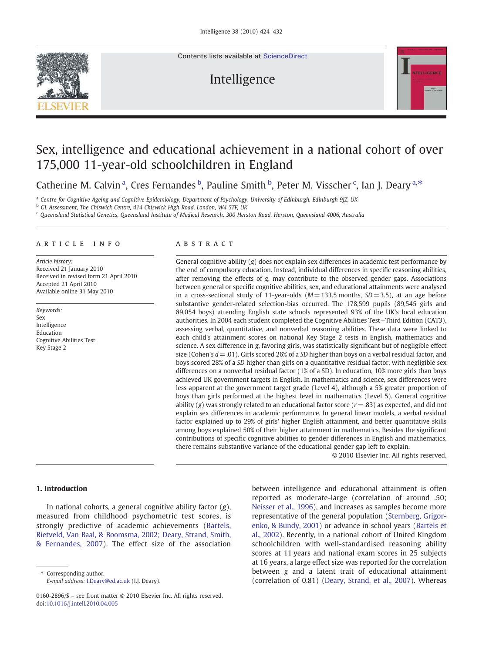Contents lists available at [ScienceDirect](http://www.sciencedirect.com/science/journal/01602896)

# Intelligence



# Sex, intelligence and educational achievement in a national cohort of over 175,000 11-year-old schoolchildren in England

Catherine M. Calvin<sup>a</sup>, Cres Fernandes<sup>b</sup>, Pauline Smith<sup>b</sup>, Peter M. Visscher<sup>c</sup>, Ian J. Deary<sup>a,\*</sup>

a *Centre for Cognitive Ageing and Cognitive Epidemiology, Department of Psychology, University of Edinburgh, Edinburgh 9JZ, UK*

<sup>b</sup> *GL Assessment, The Chiswick Centre, 414 Chiswick High Road, London, W4 5TF, UK*

<sup>c</sup> *Queensland Statistical Genetics, Queensland Institute of Medical Research, 300 Herston Road, Herston, Queensland 4006, Australia*

# article info abstract

*Article history:* Received 21 January 2010 Received in revised form 21 April 2010 Accepted 21 April 2010 Available online 31 May 2010

*Keywords:* Sex Intelligence Education Cognitive Abilities Test Key Stage 2

General cognitive ability (*g*) does not explain sex differences in academic test performance by the end of compulsory education. Instead, individual differences in specific reasoning abilities, after removing the effects of *g*, may contribute to the observed gender gaps. Associations between general or specific cognitive abilities, sex, and educational attainments were analysed in a cross-sectional study of 11-year-olds  $(M = 133.5 \text{ months}, SD = 3.5)$ , at an age before substantive gender-related selection-bias occurred. The 178,599 pupils (89,545 girls and 89,054 boys) attending English state schools represented 93% of the UK's local education authorities. In 2004 each student completed the Cognitive Abilities Test—Third Edition (CAT3), assessing verbal, quantitative, and nonverbal reasoning abilities. These data were linked to each child's attainment scores on national Key Stage 2 tests in English, mathematics and science. A sex difference in *g*, favoring girls, was statistically significant but of negligible effect size (Cohen's *d*= .01). Girls scored 26% of a *SD* higher than boys on a verbal residual factor, and boys scored 28% of a *SD* higher than girls on a quantitative residual factor, with negligible sex differences on a nonverbal residual factor (1% of a SD). In education, 10% more girls than boys achieved UK government targets in English. In mathematics and science, sex differences were less apparent at the government target grade (Level 4), although a 5% greater proportion of boys than girls performed at the highest level in mathematics (Level 5). General cognitive ability  $(g)$  was strongly related to an educational factor score  $(r = .83)$  as expected, and did not explain sex differences in academic performance. In general linear models, a verbal residual factor explained up to 29% of girls' higher English attainment, and better quantitative skills among boys explained 50% of their higher attainment in mathematics. Besides the significant contributions of specific cognitive abilities to gender differences in English and mathematics, there remains substantive variance of the educational gender gap left to explain.

© 2010 Elsevier Inc. All rights reserved.

# 1. Introduction

In national cohorts, a general cognitive ability factor (*g*), measured from childhood psychometric test scores, is strongly predictive of academic achievements ([Bartels,](#page-8-0) [Rietveld, Van Baal, & Boomsma, 2002; Deary, Strand, Smith,](#page-8-0) [& Fernandes, 2007](#page-8-0)). The effect size of the association

Corresponding author. *E-mail address:* [I.Deary@ed.ac.uk](mailto:I.Deary@ed.ac.uk) (I.J. Deary). between intelligence and educational attainment is often reported as moderate-large (correlation of around .50; [Neisser et al., 1996\)](#page-8-0), and increases as samples become more representative of the general population [\(Sternberg, Grigor](#page-8-0)[enko, & Bundy, 2001\)](#page-8-0) or advance in school years ([Bartels et](#page-8-0) [al., 2002](#page-8-0)). Recently, in a national cohort of United Kingdom schoolchildren with well-standardised reasoning ability scores at 11 years and national exam scores in 25 subjects at 16 years, a large effect size was reported for the correlation between *g* and a latent trait of educational attainment (correlation of 0.81) [\(Deary, Strand, et al., 2007\)](#page-8-0). Whereas

<sup>0160-2896/\$</sup> – see front matter © 2010 Elsevier Inc. All rights reserved. doi:[10.1016/j.intell.2010.04.005](http://dx.doi.org/10.1016/j.intell.2010.04.005)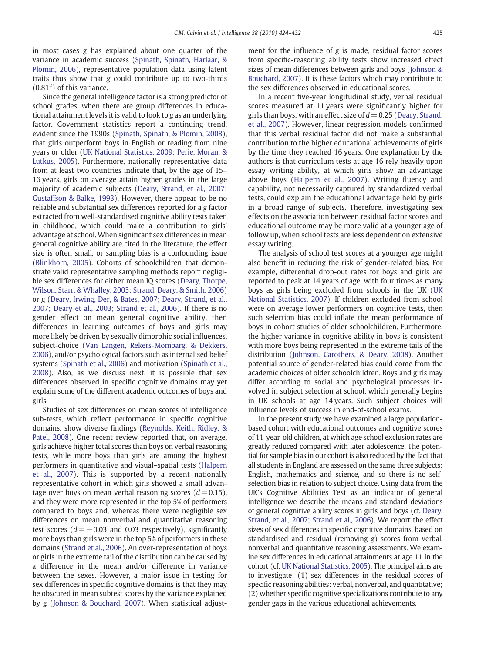in most cases *g* has explained about one quarter of the variance in academic success ([Spinath, Spinath, Harlaar, &](#page-8-0) [Plomin, 2006](#page-8-0)), representative population data using latent traits thus show that *g* could contribute up to two-thirds  $(0.81<sup>2</sup>)$  of this variance.

Since the general intelligence factor is a strong predictor of school grades, when there are group differences in educational attainment levels it is valid to look to *g* as an underlying factor. Government statistics report a continuing trend, evident since the 1990s [\(Spinath, Spinath, & Plomin, 2008\)](#page-8-0), that girls outperform boys in English or reading from nine years or older [\(UK National Statistics, 2009; Perie, Moran, &](#page-8-0) [Lutkus, 2005\)](#page-8-0). Furthermore, nationally representative data from at least two countries indicate that, by the age of 15– 16 years, girls on average attain higher grades in the large majority of academic subjects ([Deary, Strand, et al., 2007;](#page-8-0) [Gustaffson & Balke, 1993\)](#page-8-0). However, there appear to be no reliable and substantial sex differences reported for a *g* factor extracted from well-standardised cognitive ability tests taken in childhood, which could make a contribution to girls' advantage at school. When significant sex differences in mean general cognitive ability are cited in the literature, the effect size is often small, or sampling bias is a confounding issue [\(Blinkhorn, 2005](#page-8-0)). Cohorts of schoolchildren that demonstrate valid representative sampling methods report negligible sex differences for either mean IQ scores ([Deary, Thorpe,](#page-8-0) [Wilson, Starr, & Whalley, 2003; Strand, Deary, & Smith, 2006\)](#page-8-0) or *g* [\(Deary, Irwing, Der, & Bates, 2007; Deary, Strand, et al.,](#page-8-0) [2007; Deary et al., 2003; Strand et al., 2006](#page-8-0)). If there is no gender effect on mean general cognitive ability, then differences in learning outcomes of boys and girls may more likely be driven by sexually dimorphic social influences, subject-choice [\(Van Langen, Rekers-Mombarg, & Dekkers,](#page-8-0) [2006](#page-8-0)), and/or psychological factors such as internalised belief systems ([Spinath et al., 2006\)](#page-8-0) and motivation ([Spinath et al.,](#page-8-0) [2008](#page-8-0)). Also, as we discuss next, it is possible that sex differences observed in specific cognitive domains may yet explain some of the different academic outcomes of boys and girls.

Studies of sex differences on mean scores of intelligence sub-tests, which reflect performance in specific cognitive domains, show diverse findings ([Reynolds, Keith, Ridley, &](#page-8-0) [Patel, 2008](#page-8-0)). One recent review reported that, on average, girls achieve higher total scores than boys on verbal reasoning tests, while more boys than girls are among the highest performers in quantitative and visual–spatial tests ([Halpern](#page-8-0) [et al., 2007](#page-8-0)). This is supported by a recent nationally representative cohort in which girls showed a small advantage over boys on mean verbal reasoning scores  $(d= 0.15)$ , and they were more represented in the top 5% of performers compared to boys and, whereas there were negligible sex differences on mean nonverbal and quantitative reasoning test scores (*d*=−0.03 and 0.03 respectively), significantly more boys than girls were in the top 5% of performers in these domains [\(Strand et al., 2006](#page-8-0)). An over-representation of boys or girls in the extreme tail of the distribution can be caused by a difference in the mean and/or difference in variance between the sexes. However, a major issue in testing for sex differences in specific cognitive domains is that they may be obscured in mean subtest scores by the variance explained by *g* [\(Johnson & Bouchard, 2007](#page-8-0)). When statistical adjustment for the influence of *g* is made, residual factor scores from specific-reasoning ability tests show increased effect sizes of mean differences between girls and boys [\(Johnson &](#page-8-0) [Bouchard, 2007\)](#page-8-0). It is these factors which may contribute to the sex differences observed in educational scores.

In a recent five-year longitudinal study, verbal residual scores measured at 11 years were significantly higher for girls than boys, with an effect size of *d*= 0.25 ([Deary, Strand,](#page-8-0) [et al., 2007\)](#page-8-0). However, linear regression models confirmed that this verbal residual factor did not make a substantial contribution to the higher educational achievements of girls by the time they reached 16 years. One explanation by the authors is that curriculum tests at age 16 rely heavily upon essay writing ability, at which girls show an advantage above boys ([Halpern et al., 2007\)](#page-8-0). Writing fluency and capability, not necessarily captured by standardized verbal tests, could explain the educational advantage held by girls in a broad range of subjects. Therefore, investigating sex effects on the association between residual factor scores and educational outcome may be more valid at a younger age of follow up, when school tests are less dependent on extensive essay writing.

The analysis of school test scores at a younger age might also benefit in reducing the risk of gender-related bias. For example, differential drop-out rates for boys and girls are reported to peak at 14 years of age, with four times as many boys as girls being excluded from schools in the UK [\(UK](#page-8-0) [National Statistics, 2007\)](#page-8-0). If children excluded from school were on average lower performers on cognitive tests, then such selection bias could inflate the mean performance of boys in cohort studies of older schoolchildren. Furthermore, the higher variance in cognitive ability in boys is consistent with more boys being represented in the extreme tails of the distribution [\(Johnson, Carothers, & Deary, 2008](#page-8-0)). Another potential source of gender-related bias could come from the academic choices of older schoolchildren. Boys and girls may differ according to social and psychological processes involved in subject selection at school, which generally begins in UK schools at age 14 years. Such subject choices will influence levels of success in end-of-school exams.

In the present study we have examined a large populationbased cohort with educational outcomes and cognitive scores of 11-year-old children, at which age school exclusion rates are greatly reduced compared with later adolescence. The potential for sample bias in our cohort is also reduced by the fact that all students in England are assessed on the same three subjects: English, mathematics and science, and so there is no selfselection bias in relation to subject choice. Using data from the UK's Cognitive Abilities Test as an indicator of general intelligence we describe the means and standard deviations of general cognitive ability scores in girls and boys (cf. [Deary,](#page-8-0) [Strand, et al., 2007; Strand et al., 2006](#page-8-0)). We report the effect sizes of sex differences in specific cognitive domains, based on standardised and residual (removing *g*) scores from verbal, nonverbal and quantitative reasoning assessments. We examine sex differences in educational attainments at age 11 in the cohort (cf. [UK National Statistics, 2005\)](#page-8-0). The principal aims are to investigate: (1) sex differences in the residual scores of specific reasoning abilities: verbal, nonverbal, and quantitative; (2) whether specific cognitive specializations contribute to any gender gaps in the various educational achievements.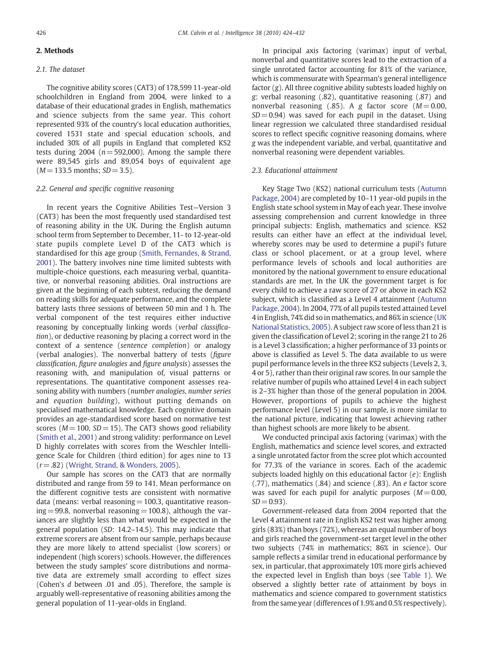# 2. Methods

# *2.1. The dataset*

The cognitive ability scores (CAT3) of 178,599 11-year-old schoolchildren in England from 2004, were linked to a database of their educational grades in English, mathematics and science subjects from the same year. This cohort represented 93% of the country's local education authorities, covered 1531 state and special education schools, and included 30% of all pupils in England that completed KS2 tests during  $2004$  ( $n = 592,000$ ). Among the sample there were 89,545 girls and 89,054 boys of equivalent age (*M*= 133.5 months; *SD*= 3.5).

#### *2.2. General and speci*fi*c cognitive reasoning*

In recent years the Cognitive Abilities Test—Version 3 (CAT3) has been the most frequently used standardised test of reasoning ability in the UK. During the English autumn school term from September to December, 11- to 12-year-old state pupils complete Level D of the CAT3 which is standardised for this age group [\(Smith, Fernandes, & Strand,](#page-8-0) [2001](#page-8-0)). The battery involves nine time limited subtests with multiple-choice questions, each measuring verbal, quantitative, or nonverbal reasoning abilities. Oral instructions are given at the beginning of each subtest, reducing the demand on reading skills for adequate performance, and the complete battery lasts three sessions of between 50 min and 1 h. The verbal component of the test requires either inductive reasoning by conceptually linking words (*verbal classi*fi*cation*), or deductive reasoning by placing a correct word in the context of a sentence (*sentence completion*) or analogy (verbal analogies). The nonverbal battery of tests (fi*gure classi*fi*cation*, fi*gure analogies* and fi*gure analysis*) assesses the reasoning with, and manipulation of, visual patterns or representations. The quantitative component assesses reasoning ability with numbers (*number analogies*, *number series* and *equation building*), without putting demands on specialised mathematical knowledge. Each cognitive domain provides an age-standardised score based on normative test scores ( $M = 100$ ,  $SD = 15$ ). The CAT3 shows good reliability ([Smith et al., 2001\)](#page-8-0) and strong validity: performance on Level D highly correlates with scores from the Weschler Intelligence Scale for Children (third edition) for ages nine to 13 (*r*= .82) [\(Wright, Strand, & Wonders, 2005\)](#page-8-0).

Our sample has scores on the CAT3 that are normally distributed and range from 59 to 141. Mean performance on the different cognitive tests are consistent with normative data (means: verbal reasoning  $= 100.3$ , quantitative reason $ing = 99.8$ , nonverbal reasoning  $= 100.8$ ), although the variances are slightly less than what would be expected in the general population (*SD*: 14.2–14.5). This may indicate that extreme scorers are absent from our sample, perhaps because they are more likely to attend specialist (low scorers) or independent (high scorers) schools. However, the differences between the study samples' score distributions and normative data are extremely small according to effect sizes (Cohen's *d* between .01 and .05). Therefore, the sample is arguably well-representative of reasoning abilities among the general population of 11-year-olds in England.

In principal axis factoring (varimax) input of verbal, nonverbal and quantitative scores lead to the extraction of a single unrotated factor accounting for 81% of the variance, which is commensurate with Spearman's general intelligence factor (*g*). All three cognitive ability subtests loaded highly on *g*: verbal reasoning (.82), quantitative reasoning (.87) and nonverbal reasoning  $(.85)$ . A *g* factor score  $(M=0.00,$  $SD = 0.94$ ) was saved for each pupil in the dataset. Using linear regression we calculated three standardised residual scores to reflect specific cognitive reasoning domains, where *g* was the independent variable, and verbal, quantitative and nonverbal reasoning were dependent variables.

### *2.3. Educational attainment*

Key Stage Two (KS2) national curriculum tests ([Autumn](#page-8-0) [Package, 2004](#page-8-0)) are completed by 10–11 year-old pupils in the English state school system in May of each year. These involve assessing comprehension and current knowledge in three principal subjects: English, mathematics and science. KS2 results can either have an effect at the individual level, whereby scores may be used to determine a pupil's future class or school placement, or at a group level, where performance levels of schools and local authorities are monitored by the national government to ensure educational standards are met. In the UK the government target is for every child to achieve a raw score of 27 or above in each KS2 subject, which is classified as a Level 4 attainment ([Autumn](#page-8-0) [Package, 2004](#page-8-0)). In 2004, 77% of all pupils tested attained Level 4 in English, 74% did so in mathematics, and 86% in science ([UK](#page-8-0) [National Statistics, 2005](#page-8-0)). A subject raw score of less than 21 is given the classification of Level 2; scoring in the range 21 to 26 is a Level 3 classification; a higher performance of 33 points or above is classified as Level 5. The data available to us were pupil performance levels in the three KS2 subjects (Levels 2, 3, 4 or 5), rather than their original raw scores. In our sample the relative number of pupils who attained Level 4 in each subject is 2–3% higher than those of the general population in 2004. However, proportions of pupils to achieve the highest performance level (Level 5) in our sample, is more similar to the national picture, indicating that lowest achieving rather than highest schools are more likely to be absent.

We conducted principal axis factoring (varimax) with the English, mathematics and science level scores, and extracted a single unrotated factor from the scree plot which accounted for 77.3% of the variance in scores. Each of the academic subjects loaded highly on this educational factor (*e*): English (.77), mathematics (.84) and science (.83). An *e* factor score was saved for each pupil for analytic purposes  $(M= 0.00, 1.00)$  $SD = 0.93$ ).

Government-released data from 2004 reported that the Level 4 attainment rate in English KS2 test was higher among girls (83%) than boys (72%), whereas an equal number of boys and girls reached the government-set target level in the other two subjects (74% in mathematics; 86% in science). Our sample reflects a similar trend in educational performance by sex, in particular, that approximately 10% more girls achieved the expected level in English than boys (see [Table 1](#page-3-0)). We observed a slightly better rate of attainment by boys in mathematics and science compared to government statistics from the same year (differences of 1.9% and 0.5% respectively).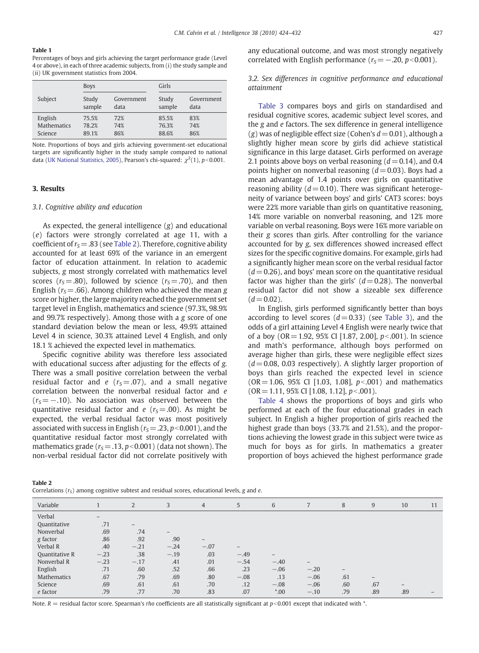#### <span id="page-3-0"></span>Table 1

Percentages of boys and girls achieving the target performance grade (Level 4 or above), in each of three academic subjects, from (i) the study sample and (ii) UK government statistics from 2004.

|                    | <b>Boys</b> |            | Girls  |            |
|--------------------|-------------|------------|--------|------------|
| Subject            | Study       | Government | Study  | Government |
|                    | sample      | data       | sample | data       |
| English            | 75.5%       | 72%        | 85.5%  | 83%        |
| <b>Mathematics</b> | 78.2%       | 74%        | 76.3%  | 74%        |
| Science            | 89.1%       | 86%        | 88.6%  | 86%        |

Note. Proportions of boys and girls achieving government-set educational targets are significantly higher in the study sample compared to national data [\(UK National Statistics, 2005](#page-8-0)), Pearson's chi-squared:  $\chi^2(1)$ ,  $p<$ 0.001.

#### 3. Results

# *3.1. Cognitive ability and education*

As expected, the general intelligence (*g*) and educational (*e*) factors were strongly correlated at age 11, with a coefficient of  $r_s$  = .83 (see Table 2). Therefore, cognitive ability accounted for at least 69% of the variance in an emergent factor of education attainment. In relation to academic subjects, *g* most strongly correlated with mathematics level scores ( $r<sub>S</sub> = .80$ ), followed by science ( $r<sub>S</sub> = .70$ ), and then English ( $r<sub>S</sub> = .66$ ). Among children who achieved the mean *g* score or higher, the large majority reached the government set target level in English, mathematics and science (97.3%, 98.9% and 99.7% respectively). Among those with a *g* score of one standard deviation below the mean or less, 49.9% attained Level 4 in science, 30.3% attained Level 4 English, and only 18.1 % achieved the expected level in mathematics.

Specific cognitive ability was therefore less associated with educational success after adjusting for the effects of *g.* There was a small positive correlation between the verbal residual factor and  $e$  ( $r<sub>S</sub>=.07$ ), and a small negative correlation between the nonverbal residual factor and *e*  $(r<sub>S</sub>=-10)$ . No association was observed between the quantitative residual factor and *e* ( $r<sub>S</sub> = .00$ ). As might be expected, the verbal residual factor was most positively associated with success in English ( $r<sub>S</sub> = .23$ ,  $p<0.001$ ), and the quantitative residual factor most strongly correlated with mathematics grade ( $r<sub>S</sub> = .13$ ,  $p<0.001$ ) (data not shown). The non-verbal residual factor did not correlate positively with any educational outcome, and was most strongly negatively correlated with English performance  $(r<sub>S</sub>=-20, p<0.001)$ .

# *3.2. Sex differences in cognitive performance and educational attainment*

[Table 3](#page-4-0) compares boys and girls on standardised and residual cognitive scores, academic subject level scores, and the *g* and *e* factors. The sex difference in general intelligence  $(g)$  was of negligible effect size (Cohen's  $d = 0.01$ ), although a slightly higher mean score by girls did achieve statistical significance in this large dataset. Girls performed on average 2.1 points above boys on verbal reasoning  $(d = 0.14)$ , and 0.4 points higher on nonverbal reasoning (*d*= 0.03). Boys had a mean advantage of 1.4 points over girls on quantitative reasoning ability  $(d= 0.10)$ . There was significant heterogeneity of variance between boys' and girls' CAT3 scores: boys were 22% more variable than girls on quantitative reasoning, 14% more variable on nonverbal reasoning, and 12% more variable on verbal reasoning. Boys were 16% more variable on their *g* scores than girls. After controlling for the variance accounted for by *g*, sex differences showed increased effect sizes for the specific cognitive domains. For example, girls had a significantly higher mean score on the verbal residual factor  $(d = 0.26)$ , and boys' mean score on the quantitative residual factor was higher than the girls'  $(d= 0.28)$ . The nonverbal residual factor did not show a sizeable sex difference  $(d = 0.02)$ .

In English, girls performed significantly better than boys according to level scores  $(d = 0.33)$  (see [Table 3](#page-4-0)), and the odds of a girl attaining Level 4 English were nearly twice that of a boy (OR= 1.92, 95% CI [1.87, 2.00], *p*b.001). In science and math's performance, although boys performed on average higher than girls, these were negligible effect sizes  $(d= 0.08, 0.03$  respectively). A slightly larger proportion of boys than girls reached the expected level in science  $(OR = 1.06, 95\% \text{ CI} [1.03, 1.08], p<0.001)$  and mathematics (OR = 1.11, 95% CI [1.08, 1.12], *p* < 001).

[Table 4](#page-4-0) shows the proportions of boys and girls who performed at each of the four educational grades in each subject. In English a higher proportion of girls reached the highest grade than boys (33.7% and 21.5%), and the proportions achieving the lowest grade in this subject were twice as much for boys as for girls. In mathematics a greater proportion of boys achieved the highest performance grade

| Table 2                                                                                       |  |
|-----------------------------------------------------------------------------------------------|--|
| Correlations $(rs)$ among cognitive subtest and residual scores, educational levels, g and e. |  |

| Variable           |                   | $\overline{2}$  | 3                        | $\overline{4}$    | 5                        | 6                 |                          | 8   | 9                 | 10  | 11 |
|--------------------|-------------------|-----------------|--------------------------|-------------------|--------------------------|-------------------|--------------------------|-----|-------------------|-----|----|
| Verbal             | $\qquad \qquad -$ |                 |                          |                   |                          |                   |                          |     |                   |     |    |
| Quantitative       | .71               | $\qquad \qquad$ |                          |                   |                          |                   |                          |     |                   |     |    |
| Nonverbal          | .69               | .74             | $\overline{\phantom{0}}$ |                   |                          |                   |                          |     |                   |     |    |
| g factor           | .86               | .92             | .90                      | $\qquad \qquad -$ |                          |                   |                          |     |                   |     |    |
| Verbal R           | .40               | $-.21$          | $-.24$                   | $-.07$            | $\overline{\phantom{m}}$ |                   |                          |     |                   |     |    |
| Quantitative R     | $-.23$            | .38             | $-.19$                   | .03               | $-.49$                   | $\qquad \qquad -$ |                          |     |                   |     |    |
| Nonverbal R        | $-.23$            | $-.17$          | .41                      | .01               | $-.54$                   | $-.40$            | $\overline{\phantom{a}}$ |     |                   |     |    |
| English            | .71               | .60             | .52                      | .66               | .23                      | $-.06$            | $-.20$                   | -   |                   |     |    |
| <b>Mathematics</b> | .67               | .79             | .69                      | .80               | $-.08$                   | .13               | $-.06$                   | .61 | $\qquad \qquad -$ |     |    |
| Science            | .69               | .61             | .61                      | .70               | .12                      | $-.08$            | $-.06$                   | .60 | .67               |     |    |
| e factor           | .79               | .77             | .70                      | .83               | .07                      | $*00$             | $-.10$                   | .79 | .89               | .89 |    |
|                    |                   |                 |                          |                   |                          |                   |                          |     |                   |     |    |

Note.  $R =$  residual factor score. Spearman's *rho* coefficients are all statistically significant at  $p$ <0.001 except that indicated with  $*$ .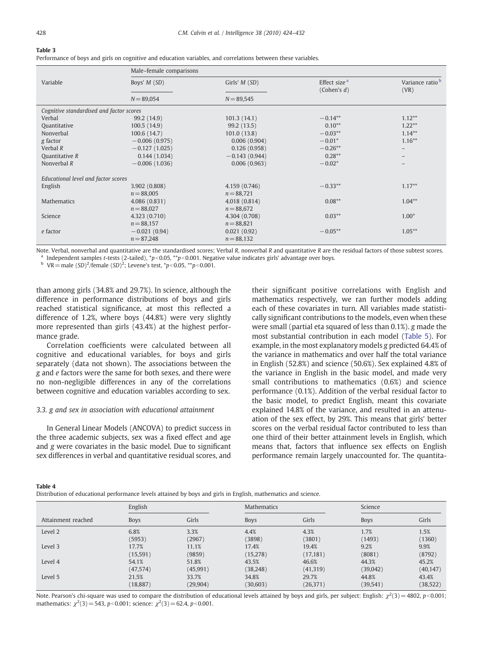#### <span id="page-4-0"></span>Table 3

Performance of boys and girls on cognitive and education variables, and correlations between these variables.

|                                          |                 | Male-female comparisons |                                            |                                     |  |  |  |  |  |
|------------------------------------------|-----------------|-------------------------|--------------------------------------------|-------------------------------------|--|--|--|--|--|
| Variable                                 | Boys' M (SD)    | Girls' $M(SD)$          | Effect size <sup>a</sup><br>(Cohen's $d$ ) | Variance ratio <sup>b</sup><br>(VR) |  |  |  |  |  |
|                                          | $N = 89,054$    | $N = 89,545$            |                                            |                                     |  |  |  |  |  |
| Cognitive standardised and factor scores |                 |                         |                                            |                                     |  |  |  |  |  |
| Verbal                                   | 99.2 (14.9)     | 101.3(14.1)             | $-0.14**$                                  | $1.12***$                           |  |  |  |  |  |
| Quantitative                             | 100.5(14.9)     | 99.2 (13.5)             | $0.10**$                                   | $1.22***$                           |  |  |  |  |  |
| Nonverbal                                | 100.6(14.7)     | 101.0(13.8)             | $-0.03**$                                  | $1.14***$                           |  |  |  |  |  |
| g factor                                 | $-0.006(0.975)$ | 0.006(0.904)            | $-0.01*$                                   | $1.16***$                           |  |  |  |  |  |
| Verbal $R$                               | $-0.127(1.025)$ | 0.126(0.958)            | $-0.26**$                                  |                                     |  |  |  |  |  |
| Quantitative R                           | 0.144(1.034)    | $-0.143(0.944)$         | $0.28***$                                  |                                     |  |  |  |  |  |
| Nonverbal $R$                            | $-0.006(1.036)$ | 0.006(0.963)            | $-0.02*$                                   |                                     |  |  |  |  |  |
| Educational level and factor scores      |                 |                         |                                            |                                     |  |  |  |  |  |
| English                                  | 3.902 (0.808)   | 4.159 (0.746)           | $-0.33**$                                  | $1.17**$                            |  |  |  |  |  |
|                                          | $n = 88,005$    | $n = 88,721$            |                                            |                                     |  |  |  |  |  |
| <b>Mathematics</b>                       | 4.086 (0.831)   | 4.018 (0.814)           | $0.08***$                                  | $1.04***$                           |  |  |  |  |  |
|                                          | $n = 88,027$    | $n = 88,672$            |                                            |                                     |  |  |  |  |  |
| Science                                  | 4.323 (0.710)   | 4.304 (0.708)           | $0.03***$                                  | $1.00*$                             |  |  |  |  |  |
|                                          | $n = 88,157$    | $n = 88,821$            |                                            |                                     |  |  |  |  |  |
| e factor                                 | $-0.021(0.94)$  | 0.021(0.92)             | $-0.05**$                                  | $1.05***$                           |  |  |  |  |  |
|                                          | $n = 87,248$    | $n = 88,132$            |                                            |                                     |  |  |  |  |  |
|                                          |                 |                         |                                            |                                     |  |  |  |  |  |

Note. Verbal, nonverbal and quantitative are the standardised scores; Verbal *R*, nonverbal *R* and quantitative *R* are the residual factors of those subtest scores. <sup>a</sup> Independent samples *t*-tests (2-tailed), \**p*<0.05, \*\**p*<0.001. Negative value indicates girls' advantage over boys.

<sup>b</sup> VR = male (*SD*)<sup>2</sup>/female (*SD*)<sup>2</sup>; Levene's test,  $*p < 0.05, **p < 0.001$ .

than among girls (34.8% and 29.7%). In science, although the difference in performance distributions of boys and girls reached statistical significance, at most this reflected a difference of 1.2%, where boys (44.8%) were very slightly more represented than girls (43.4%) at the highest performance grade.

Correlation coefficients were calculated between all cognitive and educational variables, for boys and girls separately (data not shown). The associations between the *g* and *e* factors were the same for both sexes, and there were no non-negligible differences in any of the correlations between cognitive and education variables according to sex.

# *3.3. g and sex in association with educational attainment*

In General Linear Models (ANCOVA) to predict success in the three academic subjects, sex was a fixed effect and age and *g* were covariates in the basic model. Due to significant sex differences in verbal and quantitative residual scores, and their significant positive correlations with English and mathematics respectively, we ran further models adding each of these covariates in turn. All variables made statistically significant contributions to the models, even when these were small (partial eta squared of less than 0.1%). *g* made the most substantial contribution in each model ([Table 5](#page-5-0)). For example, in the most explanatory models *g* predicted 64.4% of the variance in mathematics and over half the total variance in English (52.8%) and science (50.6%). Sex explained 4.8% of the variance in English in the basic model, and made very small contributions to mathematics (0.6%) and science performance (0.1%). Addition of the verbal residual factor to the basic model, to predict English, meant this covariate explained 14.8% of the variance, and resulted in an attenuation of the sex effect, by 29%. This means that girls' better scores on the verbal residual factor contributed to less than one third of their better attainment levels in English, which means that, factors that influence sex effects on English performance remain largely unaccounted for. The quantita-

#### Table 4

Distribution of educational performance levels attained by boys and girls in English, mathematics and science.

|                    | English     |           | <b>Mathematics</b> |           | Science     |           |  |
|--------------------|-------------|-----------|--------------------|-----------|-------------|-----------|--|
| Attainment reached | <b>Boys</b> | Girls     | <b>Boys</b>        | Girls     | <b>Boys</b> | Girls     |  |
| Level 2            | 6.8%        | 3.3%      | 4.4%               | 4.3%      | 1.7%        | 1.5%      |  |
|                    | (5953)      | (2967)    | (3898)             | (3801)    | (1493)      | (1360)    |  |
| Level 3            | 17.7%       | 11.1%     | 17.4%              | 19.4%     | 9.2%        | 9.9%      |  |
|                    | (15,591)    | (9859)    | (15,278)           | (17, 181) | (8081)      | (8792)    |  |
| Level 4            | 54.1%       | 51.8%     | 43.5%              | 46.6%     | 44.3%       | 45.2%     |  |
|                    | (47, 574)   | (45, 991) | (38, 248)          | (41, 319) | (39,042)    | (40, 147) |  |
| Level 5            | 21.5%       | 33.7%     | 34.8%              | 29.7%     | 44.8%       | 43.4%     |  |
|                    | (18, 887)   | (29, 904) | (30,603)           | (26, 371) | (39, 541)   | (38, 522) |  |

Note. Pearson's chi-square was used to compare the distribution of educational levels attained by boys and girls, per subject: English:  $\chi^2(3) = 4802$ ,  $p < 0.001$ ; mathematics:  $\chi^2(3)$  = 543, *p*<0.001; science:  $\chi^2(3)$  = 62.4, *p*<0.001.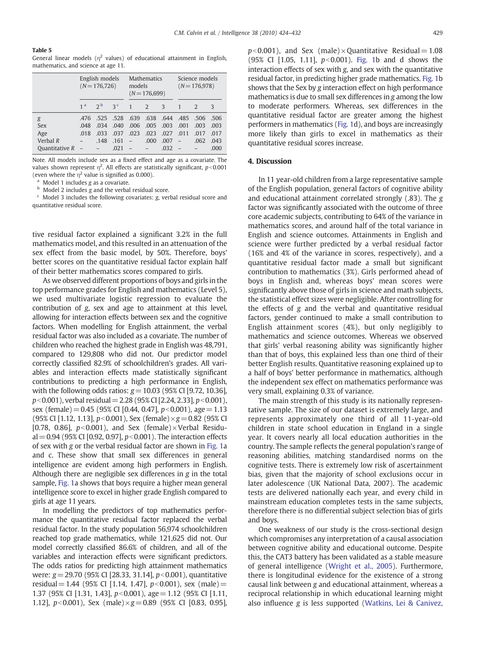#### <span id="page-5-0"></span>Table 5

General linear models ( $\eta^2$  values) of educational attainment in English, mathematics, and science at age 11.

|                | English models<br>$(N = 176, 726)$ |                | <b>Mathematics</b><br>models<br>$(N = 176,699)$ |                          |               | Science models<br>$(N = 176,978)$ |                |               |      |
|----------------|------------------------------------|----------------|-------------------------------------------------|--------------------------|---------------|-----------------------------------|----------------|---------------|------|
|                | 1 <sup>a</sup>                     | 2 <sub>b</sub> | $-3c$                                           |                          | $\mathcal{L}$ | $\mathcal{E}$                     |                | $\mathcal{L}$ | 3    |
| g              | 476                                | .525           | .528                                            | .639                     | .638          | .644                              | .485           | .506          | .506 |
| <b>Sex</b>     | .048                               | .034           | .040                                            | .006                     | .005          | .003                              | .001           | .003          | .003 |
| Age            | .018                               | 033            | .037                                            | .023                     | .023          | .027                              | .011           | .017          | .017 |
| Verbal $R$     |                                    | .148           | .161                                            | $\overline{\phantom{a}}$ | .000          | .007                              | $\overline{a}$ | .062          | .043 |
| Ouantitative R |                                    |                | .021                                            |                          |               | .032                              |                |               | .000 |

Note*.* All models include sex as a fixed effect and age as a covariate. The values shown represent  $\eta^2$ . All effects are statistically significant,  $p\!<\!0.001$ (even where the  $\eta^2$  value is signified as 0.000).

Model 1 includes *g* as a covariate.

<sup>b</sup> Model 2 includes *g* and the verbal residual score.

<sup>c</sup> Model 3 includes the following covariates: *g*, verbal residual score and quantitative residual score.

tive residual factor explained a significant 3.2% in the full mathematics model, and this resulted in an attenuation of the sex effect from the basic model, by 50%. Therefore, boys' better scores on the quantitative residual factor explain half of their better mathematics scores compared to girls.

As we observed different proportions of boys and girls in the top performance grades for English and mathematics (Level 5), we used multivariate logistic regression to evaluate the contribution of *g*, sex and age to attainment at this level, allowing for interaction effects between sex and the cognitive factors. When modelling for English attainment, the verbal residual factor was also included as a covariate. The number of children who reached the highest grade in English was 48,791, compared to 129,808 who did not. Our predictor model correctly classified 82.9% of schoolchildren's grades. All variables and interaction effects made statistically significant contributions to predicting a high performance in English, with the following odds ratios: *g*=10.03 (95% CI [9.72, 10.36], *p*<0.001), verbal residual = 2.28 (95% CI [2.24, 2.33], *p*<0.001), sex (female) = 0.45 (95% CI [0.44, 0.47],  $p<0.001$ ), age = 1.13 (95% CI [1.12, 1.13], *p*b0.001), Sex (female)×*g*=0.82 (95% CI [0.78, 0.86],  $p<0.001$ ), and Sex (female) $\times$ Verbal Residual =  $0.94$  (95% CI [0.92, 0.97],  $p<0.001$ ). The interaction effects of sex with *g* or the verbal residual factor are shown in [Fig. 1a](#page-6-0) and c. These show that small sex differences in general intelligence are evident among high performers in English. Although there are negligible sex differences in *g* in the total sample, [Fig. 1a](#page-6-0) shows that boys require a higher mean general intelligence score to excel in higher grade English compared to girls at age 11 years.

In modelling the predictors of top mathematics performance the quantitative residual factor replaced the verbal residual factor. In the study population 56,974 schoolchildren reached top grade mathematics, while 121,625 did not. Our model correctly classified 86.6% of children, and all of the variables and interaction effects were significant predictors. The odds ratios for predicting high attainment mathematics were: *g* = 29.70 (95% CI [28.33, 31.14], *p*<0.001), quantitative residual = 1.44 (95% CI [1.14, 1.47], *p*<0.001), sex (male) = 1.37 (95% CI [1.31, 1.43], *p*b0.001), age=1.12 (95% CI [1.11, 1.12], *p*b0.001), Sex (male)×*g*=0.89 (95% CI [0.83, 0.95],  $p$ <0.001), and Sex (male) × Quantitative Residual = 1.08 (95% CI  $[1.05, 1.11]$ ,  $p<0.001$ ). [Fig. 1b](#page-6-0) and d shows the interaction effects of sex with *g*, and sex with the quantitative residual factor, in predicting higher grade mathematics. [Fig. 1b](#page-6-0) shows that the Sex by *g* interaction effect on high performance mathematics is due to small sex differences in *g* among the low to moderate performers. Whereas, sex differences in the quantitative residual factor are greater among the highest performers in mathematics ([Fig. 1](#page-6-0)d), and boys are increasingly more likely than girls to excel in mathematics as their quantitative residual scores increase.

# 4. Discussion

In 11 year-old children from a large representative sample of the English population, general factors of cognitive ability and educational attainment correlated strongly (.83). The *g* factor was significantly associated with the outcome of three core academic subjects, contributing to 64% of the variance in mathematics scores, and around half of the total variance in English and science outcomes. Attainments in English and science were further predicted by a verbal residual factor (16% and 4% of the variance in scores, respectively), and a quantitative residual factor made a small but significant contribution to mathematics (3%). Girls performed ahead of boys in English and, whereas boys' mean scores were significantly above those of girls in science and math subjects, the statistical effect sizes were negligible. After controlling for the effects of *g* and the verbal and quantitative residual factors, gender continued to make a small contribution to English attainment scores (4%), but only negligibly to mathematics and science outcomes. Whereas we observed that girls' verbal reasoning ability was significantly higher than that of boys, this explained less than one third of their better English results. Quantitative reasoning explained up to a half of boys' better performance in mathematics, although the independent sex effect on mathematics performance was very small, explaining 0.3% of variance.

The main strength of this study is its nationally representative sample. The size of our dataset is extremely large, and represents approximately one third of all 11-year-old children in state school education in England in a single year. It covers nearly all local education authorities in the country. The sample reflects the general population's range of reasoning abilities, matching standardised norms on the cognitive tests. There is extremely low risk of ascertainment bias, given that the majority of school exclusions occur in later adolescence (UK National Data, 2007). The academic tests are delivered nationally each year, and every child in mainstream education completes tests in the same subjects, therefore there is no differential subject selection bias of girls and boys.

One weakness of our study is the cross-sectional design which compromises any interpretation of a causal association between cognitive ability and educational outcome. Despite this, the CAT3 battery has been validated as a stable measure of general intelligence [\(Wright et al., 2005](#page-8-0)). Furthermore, there is longitudinal evidence for the existence of a strong causal link between *g* and educational attainment, whereas a reciprocal relationship in which educational learning might also influence *g* is less supported ([Watkins, Lei & Canivez,](#page-8-0)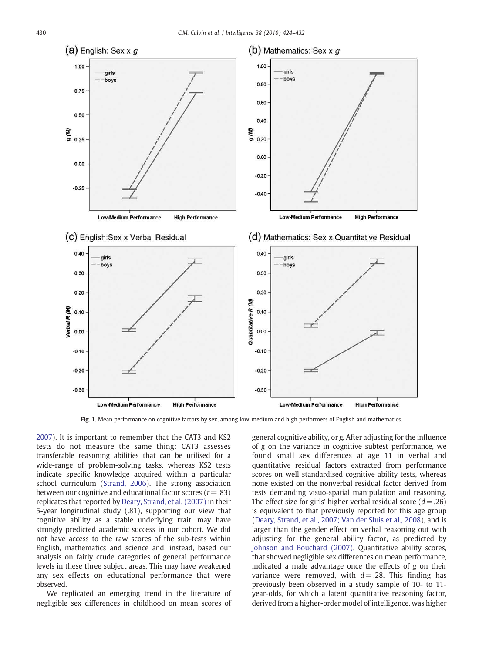<span id="page-6-0"></span>

Fig. 1. Mean performance on cognitive factors by sex, among low-medium and high performers of English and mathematics.

[2007](#page-8-0)). It is important to remember that the CAT3 and KS2 tests do not measure the same thing: CAT3 assesses transferable reasoning abilities that can be utilised for a wide-range of problem-solving tasks, whereas KS2 tests indicate specific knowledge acquired within a particular school curriculum ([Strand, 2006](#page-8-0)). The strong association between our cognitive and educational factor scores (*r*= .83) replicates that reported by [Deary, Strand, et al. \(2007\)](#page-8-0) in their 5-year longitudinal study (.81), supporting our view that cognitive ability as a stable underlying trait, may have strongly predicted academic success in our cohort. We did not have access to the raw scores of the sub-tests within English, mathematics and science and, instead, based our analysis on fairly crude categories of general performance levels in these three subject areas. This may have weakened any sex effects on educational performance that were observed.

We replicated an emerging trend in the literature of negligible sex differences in childhood on mean scores of general cognitive ability, or *g.* After adjusting for the influence of *g* on the variance in cognitive subtest performance, we found small sex differences at age 11 in verbal and quantitative residual factors extracted from performance scores on well-standardised cognitive ability tests, whereas none existed on the nonverbal residual factor derived from tests demanding visuo-spatial manipulation and reasoning. The effect size for girls' higher verbal residual score  $(d = .26)$ is equivalent to that previously reported for this age group ([Deary, Strand, et al., 2007; Van der Sluis et al., 2008](#page-8-0)), and is larger than the gender effect on verbal reasoning out with adjusting for the general ability factor, as predicted by [Johnson and Bouchard \(2007\)](#page-8-0). Quantitative ability scores, that showed negligible sex differences on mean performance, indicated a male advantage once the effects of *g* on their variance were removed, with  $d = .28$ . This finding has previously been observed in a study sample of 10- to 11 year-olds, for which a latent quantitative reasoning factor, derived from a higher-order model of intelligence, was higher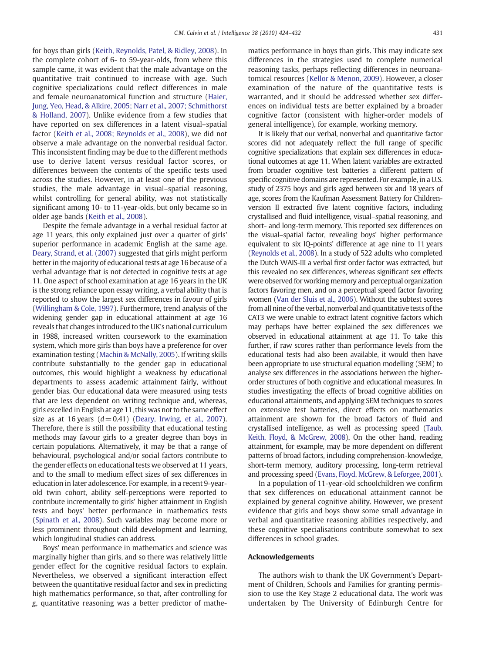for boys than girls [\(Keith, Reynolds, Patel, & Ridley, 2008](#page-8-0)). In the complete cohort of 6- to 59-year-olds, from where this sample came, it was evident that the male advantage on the quantitative trait continued to increase with age. Such cognitive specializations could reflect differences in male and female neuroanatomical function and structure ([Haier,](#page-8-0) [Jung, Yeo, Head, & Alkire, 2005; Narr et al., 2007; Schmithorst](#page-8-0) [& Holland, 2007\)](#page-8-0). Unlike evidence from a few studies that have reported on sex differences in a latent visual–spatial factor [\(Keith et al., 2008; Reynolds et al., 2008](#page-8-0)), we did not observe a male advantage on the nonverbal residual factor. This inconsistent finding may be due to the different methods use to derive latent versus residual factor scores, or differences between the contents of the specific tests used across the studies. However, in at least one of the previous studies, the male advantage in visual–spatial reasoning, whilst controlling for general ability, was not statistically significant among 10- to 11-year-olds, but only became so in older age bands ([Keith et al., 2008](#page-8-0)).

Despite the female advantage in a verbal residual factor at age 11 years, this only explained just over a quarter of girls' superior performance in academic English at the same age. [Deary, Strand, et al. \(2007\)](#page-8-0) suggested that girls might perform better in the majority of educational tests at age 16 because of a verbal advantage that is not detected in cognitive tests at age 11. One aspect of school examination at age 16 years in the UK is the strong reliance upon essay writing, a verbal ability that is reported to show the largest sex differences in favour of girls [\(Willingham & Cole, 1997](#page-8-0)). Furthermore, trend analysis of the widening gender gap in educational attainment at age 16 reveals that changes introduced to the UK's national curriculum in 1988, increased written coursework to the examination system, which more girls than boys have a preference for over examination testing ([Machin & McNally, 2005\)](#page-8-0). If writing skills contribute substantially to the gender gap in educational outcomes, this would highlight a weakness by educational departments to assess academic attainment fairly, without gender bias. Our educational data were measured using tests that are less dependent on writing technique and, whereas, girls excelled in English at age 11, this was not to the same effect size as at 16 years  $(d=0.41)$  [\(Deary, Irwing, et al., 2007\)](#page-8-0). Therefore, there is still the possibility that educational testing methods may favour girls to a greater degree than boys in certain populations. Alternatively, it may be that a range of behavioural, psychological and/or social factors contribute to the gender effects on educational tests we observed at 11 years, and to the small to medium effect sizes of sex differences in education in later adolescence. For example, in a recent 9-yearold twin cohort, ability self-perceptions were reported to contribute incrementally to girls' higher attainment in English tests and boys' better performance in mathematics tests [\(Spinath et al., 2008\)](#page-8-0). Such variables may become more or less prominent throughout child development and learning, which longitudinal studies can address.

Boys' mean performance in mathematics and science was marginally higher than girls, and so there was relatively little gender effect for the cognitive residual factors to explain. Nevertheless, we observed a significant interaction effect between the quantitative residual factor and sex in predicting high mathematics performance, so that, after controlling for *g*, quantitative reasoning was a better predictor of mathematics performance in boys than girls. This may indicate sex differences in the strategies used to complete numerical reasoning tasks, perhaps reflecting differences in neuroanatomical resources ([Kellor & Menon, 2009\)](#page-8-0). However, a closer examination of the nature of the quantitative tests is warranted, and it should be addressed whether sex differences on individual tests are better explained by a broader cognitive factor (consistent with higher-order models of general intelligence), for example, working memory.

It is likely that our verbal, nonverbal and quantitative factor scores did not adequately reflect the full range of specific cognitive specializations that explain sex differences in educational outcomes at age 11. When latent variables are extracted from broader cognitive test batteries a different pattern of specific cognitive domains are represented. For example, in a U.S. study of 2375 boys and girls aged between six and 18 years of age, scores from the Kaufman Assessment Battery for Childrenversion II extracted five latent cognitive factors, including crystallised and fluid intelligence, visual–spatial reasoning, and short- and long-term memory. This reported sex differences on the visual–spatial factor, revealing boys' higher performance equivalent to six IQ-points' difference at age nine to 11 years [\(Reynolds et al., 2008](#page-8-0)). In a study of 522 adults who completed the Dutch WAIS-III a verbal first order factor was extracted, but this revealed no sex differences, whereas significant sex effects were observed for working memory and perceptual organization factors favoring men, and on a perceptual speed factor favoring women [\(Van der Sluis et al., 2006](#page-8-0)). Without the subtest scores from all nine of the verbal, nonverbal and quantitative tests of the CAT3 we were unable to extract latent cognitive factors which may perhaps have better explained the sex differences we observed in educational attainment at age 11. To take this further, if raw scores rather than performance levels from the educational tests had also been available, it would then have been appropriate to use structural equation modelling (SEM) to analyse sex differences in the associations between the higherorder structures of both cognitive and educational measures. In studies investigating the effects of broad cognitive abilities on educational attainments, and applying SEM techniques to scores on extensive test batteries, direct effects on mathematics attainment are shown for the broad factors of fluid and crystallised intelligence, as well as processing speed [\(Taub,](#page-8-0) [Keith, Floyd, & McGrew, 2008](#page-8-0)). On the other hand, reading attainment, for example, may be more dependent on different patterns of broad factors, including comprehension-knowledge, short-term memory, auditory processing, long-term retrieval and processing speed [\(Evans, Floyd, McGrew, & Leforgee, 2001\)](#page-8-0).

In a population of 11-year-old schoolchildren we confirm that sex differences on educational attainment cannot be explained by general cognitive ability. However, we present evidence that girls and boys show some small advantage in verbal and quantitative reasoning abilities respectively, and these cognitive specialisations contribute somewhat to sex differences in school grades.

# Acknowledgements

The authors wish to thank the UK Government's Department of Children, Schools and Families for granting permission to use the Key Stage 2 educational data. The work was undertaken by The University of Edinburgh Centre for